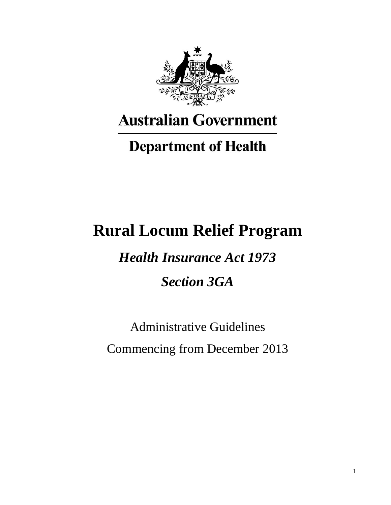

# **Australian Government**

# **Department of Health**

# **Rural Locum Relief Program**

*Health Insurance Act 1973 Section 3GA*

Administrative Guidelines Commencing from December 2013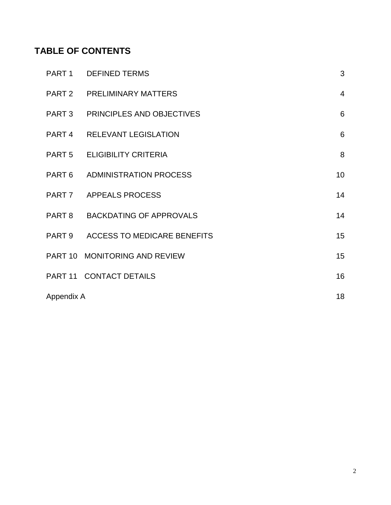# **TABLE OF CONTENTS**

|            | PART 1 DEFINED TERMS               | 3               |
|------------|------------------------------------|-----------------|
|            | PART 2 PRELIMINARY MATTERS         | $\overline{4}$  |
|            | PART 3 PRINCIPLES AND OBJECTIVES   | 6               |
|            | PART 4 RELEVANT LEGISLATION        | 6               |
|            | PART 5 ELIGIBILITY CRITERIA        | 8               |
|            | PART 6 ADMINISTRATION PROCESS      | 10 <sup>1</sup> |
|            | PART 7 APPEALS PROCESS             | 14              |
|            | PART 8 BACKDATING OF APPROVALS     | 14              |
|            | PART 9 ACCESS TO MEDICARE BENEFITS | 15              |
|            | PART 10 MONITORING AND REVIEW      | 15              |
|            | PART 11 CONTACT DETAILS            | 16              |
| Appendix A |                                    | 18              |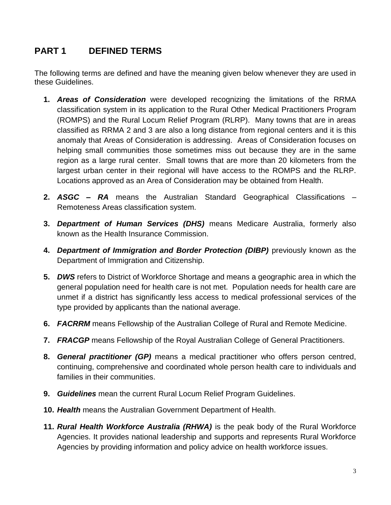# <span id="page-2-0"></span>**PART 1 DEFINED TERMS**

The following terms are defined and have the meaning given below whenever they are used in these Guidelines.

- **1.** *Areas of Consideration* were developed recognizing the limitations of the RRMA classification system in its application to the Rural Other Medical Practitioners Program (ROMPS) and the Rural Locum Relief Program (RLRP). Many towns that are in areas classified as RRMA 2 and 3 are also a long distance from regional centers and it is this anomaly that Areas of Consideration is addressing. Areas of Consideration focuses on helping small communities those sometimes miss out because they are in the same region as a large rural center. Small towns that are more than 20 kilometers from the largest urban center in their regional will have access to the ROMPS and the RLRP. Locations approved as an Area of Consideration may be obtained from Health.
- **2.** *ASGC – RA* means the Australian Standard Geographical Classifications Remoteness Areas classification system.
- **3.** *Department of Human Services (DHS)* means Medicare Australia, formerly also known as the Health Insurance Commission.
- **4.** *Department of Immigration and Border Protection (DIBP)* previously known as the Department of Immigration and Citizenship.
- **5.** *DWS* refers to District of Workforce Shortage and means a geographic area in which the general population need for health care is not met. Population needs for health care are unmet if a district has significantly less access to medical professional services of the type provided by applicants than the national average.
- **6.** *FACRRM* means Fellowship of the Australian College of Rural and Remote Medicine.
- **7.** *FRACGP* means Fellowship of the Royal Australian College of General Practitioners.
- **8.** *General practitioner (GP)* means a medical practitioner who offers person centred, continuing, comprehensive and coordinated whole person health care to individuals and families in their communities.
- **9.** *Guidelines* mean the current Rural Locum Relief Program Guidelines.
- **10.** *Health* means the Australian Government Department of Health.
- **11.** *Rural Health Workforce Australia (RHWA)* is the peak body of the Rural Workforce Agencies. It provides national leadership and supports and represents Rural Workforce Agencies by providing information and policy advice on health workforce issues.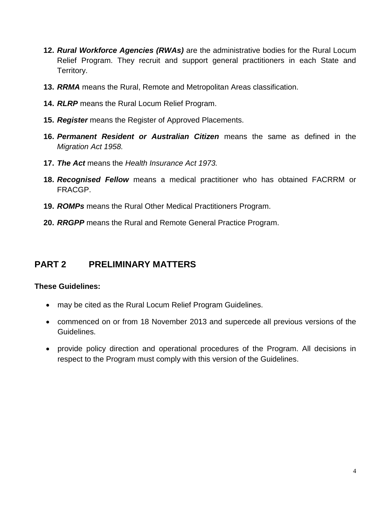- **12.** *Rural Workforce Agencies (RWAs)* are the administrative bodies for the Rural Locum Relief Program. They recruit and support general practitioners in each State and Territory.
- **13.** *RRMA* means the Rural, Remote and Metropolitan Areas classification.
- **14.** *RLRP* means the Rural Locum Relief Program.
- **15.** *Register* means the Register of Approved Placements.
- **16.** *Permanent Resident or Australian Citizen* means the same as defined in the *Migration Act 1958.*
- **17.** *The Act* means the *Health Insurance Act 1973.*
- **18.** *Recognised Fellow* means a medical practitioner who has obtained FACRRM or FRACGP.
- **19.** *ROMPs* means the Rural Other Medical Practitioners Program.
- **20.** *RRGPP* means the Rural and Remote General Practice Program.

# <span id="page-3-0"></span>**PART 2 PRELIMINARY MATTERS**

## **These Guidelines:**

- may be cited as the Rural Locum Relief Program Guidelines.
- commenced on or from 18 November 2013 and supercede all previous versions of the Guidelines.
- provide policy direction and operational procedures of the Program. All decisions in respect to the Program must comply with this version of the Guidelines.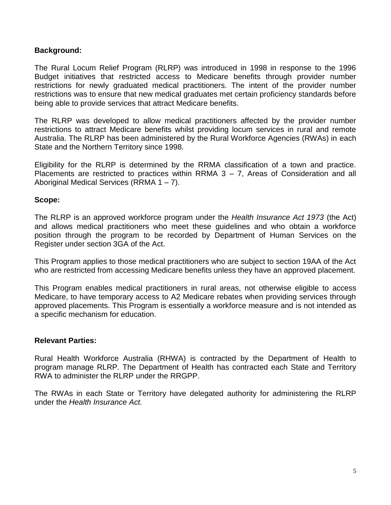### **Background:**

The Rural Locum Relief Program (RLRP) was introduced in 1998 in response to the 1996 Budget initiatives that restricted access to Medicare benefits through provider number restrictions for newly graduated medical practitioners. The intent of the provider number restrictions was to ensure that new medical graduates met certain proficiency standards before being able to provide services that attract Medicare benefits.

The RLRP was developed to allow medical practitioners affected by the provider number restrictions to attract Medicare benefits whilst providing locum services in rural and remote Australia. The RLRP has been administered by the Rural Workforce Agencies (RWAs) in each State and the Northern Territory since 1998.

Eligibility for the RLRP is determined by the RRMA classification of a town and practice. Placements are restricted to practices within RRMA  $3 - 7$ , Areas of Consideration and all Aboriginal Medical Services (RRMA 1 – 7).

#### **Scope:**

The RLRP is an approved workforce program under the *Health Insurance Act 1973* (the Act) and allows medical practitioners who meet these guidelines and who obtain a workforce position through the program to be recorded by Department of Human Services on the Register under section 3GA of the Act.

This Program applies to those medical practitioners who are subject to section 19AA of the Act who are restricted from accessing Medicare benefits unless they have an approved placement.

This Program enables medical practitioners in rural areas, not otherwise eligible to access Medicare, to have temporary access to A2 Medicare rebates when providing services through approved placements. This Program is essentially a workforce measure and is not intended as a specific mechanism for education.

#### **Relevant Parties:**

Rural Health Workforce Australia (RHWA) is contracted by the Department of Health to program manage RLRP. The Department of Health has contracted each State and Territory RWA to administer the RLRP under the RRGPP.

<span id="page-4-0"></span>The RWAs in each State or Territory have delegated authority for administering the RLRP under the *Health Insurance Act.*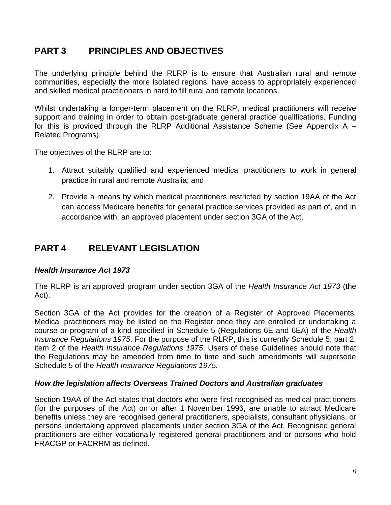# **PART 3 PRINCIPLES AND OBJECTIVES**

The underlying principle behind the RLRP is to ensure that Australian rural and remote communities, especially the more isolated regions, have access to appropriately experienced and skilled medical practitioners in hard to fill rural and remote locations.

Whilst undertaking a longer-term placement on the RLRP, medical practitioners will receive support and training in order to obtain post-graduate general practice qualifications. Funding for this is provided through the RLRP Additional Assistance Scheme (See Appendix A – Related Programs).

The objectives of the RLRP are to:

- 1. Attract suitably qualified and experienced medical practitioners to work in general practice in rural and remote Australia; and
- 2. Provide a means by which medical practitioners restricted by section 19AA of the Act can access Medicare benefits for general practice services provided as part of, and in accordance with, an approved placement under section 3GA of the Act.

# <span id="page-5-0"></span>**PART 4 RELEVANT LEGISLATION**

#### *Health Insurance Act 1973*

The RLRP is an approved program under section 3GA of the *Health Insurance Act 1973* (the Act).

Section 3GA of the Act provides for the creation of a Register of Approved Placements. Medical practitioners may be listed on the Register once they are enrolled or undertaking a course or program of a kind specified in Schedule 5 (Regulations 6E and 6EA) of the *Health Insurance Regulations 1975*. For the purpose of the RLRP, this is currently Schedule 5, part 2, item 2 of the *Health Insurance Regulations 1975*. Users of these Guidelines should note that the Regulations may be amended from time to time and such amendments will supersede Schedule 5 of the *Health Insurance Regulations 1975.*

#### *How the legislation affects Overseas Trained Doctors and Australian graduates*

Section 19AA of the Act states that doctors who were first recognised as medical practitioners (for the purposes of the Act) on or after 1 November 1996, are unable to attract Medicare benefits unless they are recognised general practitioners, specialists, consultant physicians, or persons undertaking approved placements under section 3GA of the Act. Recognised general practitioners are either vocationally registered general practitioners and or persons who hold FRACGP or FACRRM as defined.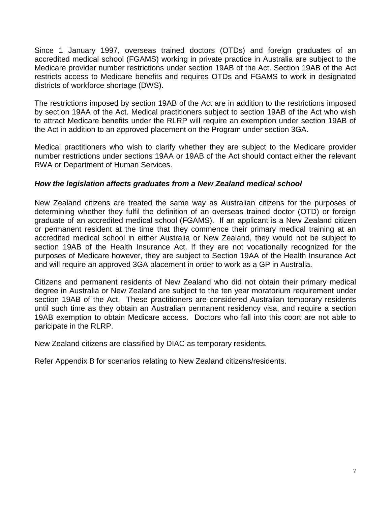Since 1 January 1997, overseas trained doctors (OTDs) and foreign graduates of an accredited medical school (FGAMS) working in private practice in Australia are subject to the Medicare provider number restrictions under section 19AB of the Act. Section 19AB of the Act restricts access to Medicare benefits and requires OTDs and FGAMS to work in designated districts of workforce shortage (DWS).

The restrictions imposed by section 19AB of the Act are in addition to the restrictions imposed by section 19AA of the Act. Medical practitioners subject to section 19AB of the Act who wish to attract Medicare benefits under the RLRP will require an exemption under section 19AB of the Act in addition to an approved placement on the Program under section 3GA.

Medical practitioners who wish to clarify whether they are subject to the Medicare provider number restrictions under sections 19AA or 19AB of the Act should contact either the relevant RWA or Department of Human Services.

#### *How the legislation affects graduates from a New Zealand medical school*

New Zealand citizens are treated the same way as Australian citizens for the purposes of determining whether they fulfil the definition of an overseas trained doctor (OTD) or foreign graduate of an accredited medical school (FGAMS). If an applicant is a New Zealand citizen or permanent resident at the time that they commence their primary medical training at an accredited medical school in either Australia or New Zealand, they would not be subject to section 19AB of the Health Insurance Act. If they are not vocationally recognized for the purposes of Medicare however, they are subject to Section 19AA of the Health Insurance Act and will require an approved 3GA placement in order to work as a GP in Australia.

Citizens and permanent residents of New Zealand who did not obtain their primary medical degree in Australia or New Zealand are subject to the ten year moratorium requirement under section 19AB of the Act. These practitioners are considered Australian temporary residents until such time as they obtain an Australian permanent residency visa, and require a section 19AB exemption to obtain Medicare access. Doctors who fall into this coort are not able to paricipate in the RLRP.

New Zealand citizens are classified by DIAC as temporary residents.

<span id="page-6-0"></span>Refer Appendix B for scenarios relating to New Zealand citizens/residents.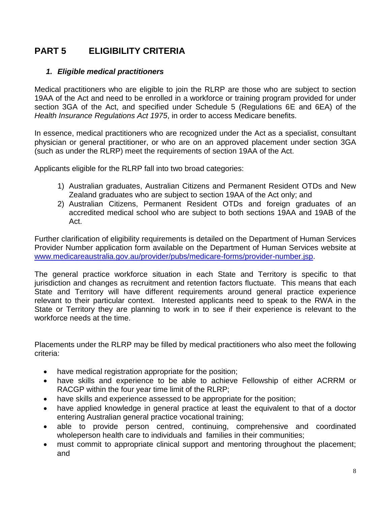# **PART 5 ELIGIBILITY CRITERIA**

## *1. Eligible medical practitioners*

Medical practitioners who are eligible to join the RLRP are those who are subject to section 19AA of the Act and need to be enrolled in a workforce or training program provided for under section 3GA of the Act, and specified under Schedule 5 (Regulations 6E and 6EA) of the *Health Insurance Regulations Act 1975*, in order to access Medicare benefits.

In essence, medical practitioners who are recognized under the Act as a specialist, consultant physician or general practitioner, or who are on an approved placement under section 3GA (such as under the RLRP) meet the requirements of section 19AA of the Act.

Applicants eligible for the RLRP fall into two broad categories:

- 1) Australian graduates, Australian Citizens and Permanent Resident OTDs and New Zealand graduates who are subject to section 19AA of the Act only; and
- 2) Australian Citizens, Permanent Resident OTDs and foreign graduates of an accredited medical school who are subject to both sections 19AA and 19AB of the Act.

Further clarification of eligibility requirements is detailed on the Department of Human Services Provider Number application form available on the Department of Human Services website at [www.medicareaustralia.gov.au/provider/pubs/medicare-forms/provider-number.jsp.](http://www.medicareaustralia.gov.au/provider/pubs/medicare-forms/provider-number.jsp)

The general practice workforce situation in each State and Territory is specific to that jurisdiction and changes as recruitment and retention factors fluctuate. This means that each State and Territory will have different requirements around general practice experience relevant to their particular context. Interested applicants need to speak to the RWA in the State or Territory they are planning to work in to see if their experience is relevant to the workforce needs at the time.

Placements under the RLRP may be filled by medical practitioners who also meet the following criteria:

- have medical registration appropriate for the position;
- have skills and experience to be able to achieve Fellowship of either ACRRM or RACGP within the four year time limit of the RLRP;
- have skills and experience assessed to be appropriate for the position;
- have applied knowledge in general practice at least the equivalent to that of a doctor entering Australian general practice vocational training;
- able to provide person centred, continuing, comprehensive and coordinated wholeperson health care to individuals and families in their communities;
- must commit to appropriate clinical support and mentoring throughout the placement; and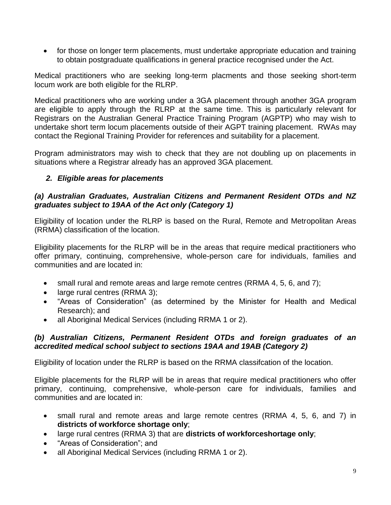• for those on longer term placements, must undertake appropriate education and training to obtain postgraduate qualifications in general practice recognised under the Act.

Medical practitioners who are seeking long-term placments and those seeking short-term locum work are both eligible for the RLRP.

Medical practitioners who are working under a 3GA placement through another 3GA program are eligible to apply through the RLRP at the same time. This is particularly relevant for Registrars on the Australian General Practice Training Program (AGPTP) who may wish to undertake short term locum placements outside of their AGPT training placement. RWAs may contact the Regional Training Provider for references and suitability for a placement.

Program administrators may wish to check that they are not doubling up on placements in situations where a Registrar already has an approved 3GA placement.

## *2. Eligible areas for placements*

## *(a) Australian Graduates, Australian Citizens and Permanent Resident OTDs and NZ graduates subject to 19AA of the Act only (Category 1)*

Eligibility of location under the RLRP is based on the Rural, Remote and Metropolitan Areas (RRMA) classification of the location.

Eligibility placements for the RLRP will be in the areas that require medical practitioners who offer primary, continuing, comprehensive, whole-person care for individuals, families and communities and are located in:

- small rural and remote areas and large remote centres (RRMA 4, 5, 6, and 7);
- large rural centres (RRMA 3);
- "Areas of Consideration" (as determined by the Minister for Health and Medical Research); and
- all Aboriginal Medical Services (including RRMA 1 or 2).

#### *(b) Australian Citizens, Permanent Resident OTDs and foreign graduates of an accredited medical school subject to sections 19AA and 19AB (Category 2)*

Eligibility of location under the RLRP is based on the RRMA classifcation of the location.

Eligible placements for the RLRP will be in areas that require medical practitioners who offer primary, continuing, comprehensive, whole-person care for individuals, families and communities and are located in:

- small rural and remote areas and large remote centres (RRMA 4, 5, 6, and 7) in **districts of workforce shortage only**;
- large rural centres (RRMA 3) that are **districts of workforceshortage only**;
- "Areas of Consideration"; and
- all Aboriginal Medical Services (including RRMA 1 or 2).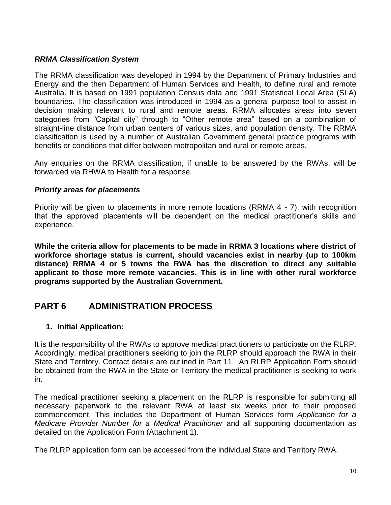### *RRMA Classification System*

The RRMA classification was developed in 1994 by the Department of Primary Industries and Energy and the then Department of Human Services and Health, to define rural and remote Australia. It is based on 1991 population Census data and 1991 Statistical Local Area (SLA) boundaries. The classification was introduced in 1994 as a general purpose tool to assist in decision making relevant to rural and remote areas. RRMA allocates areas into seven categories from "Capital city" through to "Other remote area" based on a combination of straight-line distance from urban centers of various sizes, and population density. The RRMA classification is used by a number of Australian Government general practice programs with benefits or conditions that differ between metropolitan and rural or remote areas.

Any enquiries on the RRMA classification, if unable to be answered by the RWAs, will be forwarded via RHWA to Health for a response.

#### *Priority areas for placements*

Priority will be given to placements in more remote locations (RRMA 4 - 7), with recognition that the approved placements will be dependent on the medical practitioner's skills and experience.

**While the criteria allow for placements to be made in RRMA 3 locations where district of workforce shortage status is current, should vacancies exist in nearby (up to 100km distance) RRMA 4 or 5 towns the RWA has the discretion to direct any suitable applicant to those more remote vacancies. This is in line with other rural workforce programs supported by the Australian Government.**

# <span id="page-9-0"></span>**PART 6 ADMINISTRATION PROCESS**

#### **1. Initial Application:**

It is the responsibility of the RWAs to approve medical practitioners to participate on the RLRP. Accordingly, medical practitioners seeking to join the RLRP should approach the RWA in their State and Territory. Contact details are outlined in Part 11. An RLRP Application Form should be obtained from the RWA in the State or Territory the medical practitioner is seeking to work in.

The medical practitioner seeking a placement on the RLRP is responsible for submitting all necessary paperwork to the relevant RWA at least six weeks prior to their proposed commencement. This includes the Department of Human Services form *Application for a Medicare Provider Number for a Medical Practitioner* and all supporting documentation as detailed on the Application Form (Attachment 1).

The RLRP application form can be accessed from the individual State and Territory RWA.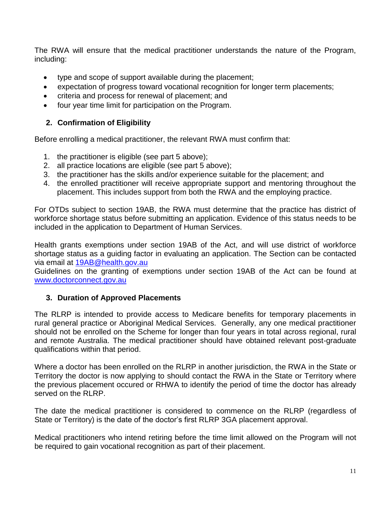The RWA will ensure that the medical practitioner understands the nature of the Program, including:

- type and scope of support available during the placement;
- expectation of progress toward vocational recognition for longer term placements;
- criteria and process for renewal of placement; and
- four year time limit for participation on the Program.

## **2. Confirmation of Eligibility**

Before enrolling a medical practitioner, the relevant RWA must confirm that:

- 1. the practitioner is eligible (see part 5 above);
- 2. all practice locations are eligible (see part 5 above);
- 3. the practitioner has the skills and/or experience suitable for the placement; and
- 4. the enrolled practitioner will receive appropriate support and mentoring throughout the placement. This includes support from both the RWA and the employing practice.

For OTDs subject to section 19AB, the RWA must determine that the practice has district of workforce shortage status before submitting an application. Evidence of this status needs to be included in the application to Department of Human Services.

Health grants exemptions under section 19AB of the Act, and will use district of workforce shortage status as a guiding factor in evaluating an application. The Section can be contacted via email at [19AB@health.gov.au](mailto:19AB@health.gov.au)

Guidelines on the granting of exemptions under section 19AB of the Act can be found at [www.doctorconnect.gov.au](http://www.doctorconnect.gov.au/)

## **3. Duration of Approved Placements**

The RLRP is intended to provide access to Medicare benefits for temporary placements in rural general practice or Aboriginal Medical Services. Generally, any one medical practitioner should not be enrolled on the Scheme for longer than four years in total across regional, rural and remote Australia. The medical practitioner should have obtained relevant post-graduate qualifications within that period.

Where a doctor has been enrolled on the RLRP in another jurisdiction, the RWA in the State or Territory the doctor is now applying to should contact the RWA in the State or Territory where the previous placement occured or RHWA to identify the period of time the doctor has already served on the RLRP.

The date the medical practitioner is considered to commence on the RLRP (regardless of State or Territory) is the date of the doctor's first RLRP 3GA placement approval.

Medical practitioners who intend retiring before the time limit allowed on the Program will not be required to gain vocational recognition as part of their placement.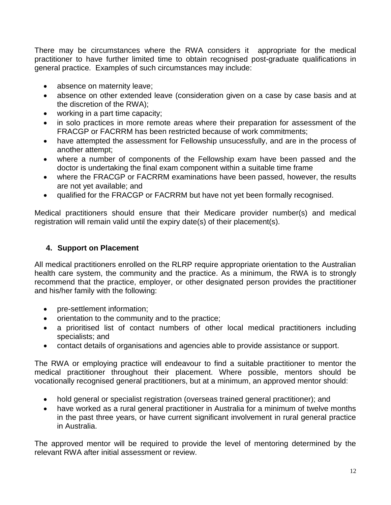There may be circumstances where the RWA considers it appropriate for the medical practitioner to have further limited time to obtain recognised post-graduate qualifications in general practice. Examples of such circumstances may include:

- absence on maternity leave;
- absence on other extended leave (consideration given on a case by case basis and at the discretion of the RWA);
- working in a part time capacity;
- in solo practices in more remote areas where their preparation for assessment of the FRACGP or FACRRM has been restricted because of work commitments;
- have attempted the assessment for Fellowship unsucessfully, and are in the process of another attempt;
- where a number of components of the Fellowship exam have been passed and the doctor is undertaking the final exam component within a suitable time frame
- where the FRACGP or FACRRM examinations have been passed, however, the results are not yet available; and
- qualified for the FRACGP or FACRRM but have not yet been formally recognised.

Medical practitioners should ensure that their Medicare provider number(s) and medical registration will remain valid until the expiry date(s) of their placement(s).

## **4. Support on Placement**

All medical practitioners enrolled on the RLRP require appropriate orientation to the Australian health care system, the community and the practice. As a minimum, the RWA is to strongly recommend that the practice, employer, or other designated person provides the practitioner and his/her family with the following:

- pre-settlement information;
- orientation to the community and to the practice;
- a prioritised list of contact numbers of other local medical practitioners including specialists; and
- contact details of organisations and agencies able to provide assistance or support.

The RWA or employing practice will endeavour to find a suitable practitioner to mentor the medical practitioner throughout their placement. Where possible, mentors should be vocationally recognised general practitioners, but at a minimum, an approved mentor should:

- hold general or specialist registration (overseas trained general practitioner); and
- have worked as a rural general practitioner in Australia for a minimum of twelve months in the past three years, or have current significant involvement in rural general practice in Australia.

The approved mentor will be required to provide the level of mentoring determined by the relevant RWA after initial assessment or review.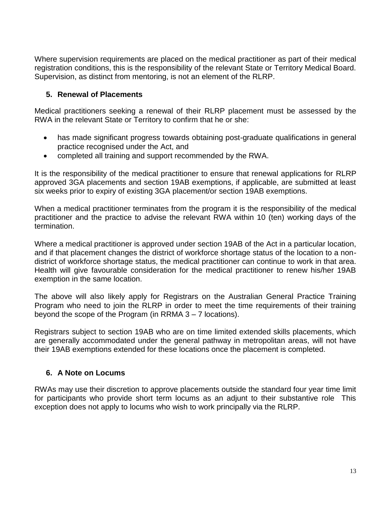Where supervision requirements are placed on the medical practitioner as part of their medical registration conditions, this is the responsibility of the relevant State or Territory Medical Board. Supervision, as distinct from mentoring, is not an element of the RLRP.

## **5. Renewal of Placements**

Medical practitioners seeking a renewal of their RLRP placement must be assessed by the RWA in the relevant State or Territory to confirm that he or she:

- has made significant progress towards obtaining post-graduate qualifications in general practice recognised under the Act, and
- completed all training and support recommended by the RWA.

It is the responsibility of the medical practitioner to ensure that renewal applications for RLRP approved 3GA placements and section 19AB exemptions, if applicable, are submitted at least six weeks prior to expiry of existing 3GA placement/or section 19AB exemptions.

When a medical practitioner terminates from the program it is the responsibility of the medical practitioner and the practice to advise the relevant RWA within 10 (ten) working days of the termination.

Where a medical practitioner is approved under section 19AB of the Act in a particular location, and if that placement changes the district of workforce shortage status of the location to a nondistrict of workforce shortage status, the medical practitioner can continue to work in that area. Health will give favourable consideration for the medical practitioner to renew his/her 19AB exemption in the same location.

The above will also likely apply for Registrars on the Australian General Practice Training Program who need to join the RLRP in order to meet the time requirements of their training beyond the scope of the Program (in RRMA 3 – 7 locations).

Registrars subject to section 19AB who are on time limited extended skills placements, which are generally accommodated under the general pathway in metropolitan areas, will not have their 19AB exemptions extended for these locations once the placement is completed.

## **6. A Note on Locums**

RWAs may use their discretion to approve placements outside the standard four year time limit for participants who provide short term locums as an adjunt to their substantive role This exception does not apply to locums who wish to work principally via the RLRP.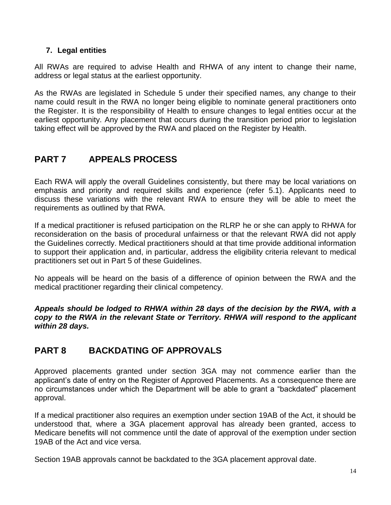## **7. Legal entities**

All RWAs are required to advise Health and RHWA of any intent to change their name, address or legal status at the earliest opportunity.

As the RWAs are legislated in Schedule 5 under their specified names, any change to their name could result in the RWA no longer being eligible to nominate general practitioners onto the Register. It is the responsibility of Health to ensure changes to legal entities occur at the earliest opportunity. Any placement that occurs during the transition period prior to legislation taking effect will be approved by the RWA and placed on the Register by Health.

# <span id="page-13-0"></span>**PART 7 APPEALS PROCESS**

Each RWA will apply the overall Guidelines consistently, but there may be local variations on emphasis and priority and required skills and experience (refer 5.1). Applicants need to discuss these variations with the relevant RWA to ensure they will be able to meet the requirements as outlined by that RWA.

If a medical practitioner is refused participation on the RLRP he or she can apply to RHWA for reconsideration on the basis of procedural unfairness or that the relevant RWA did not apply the Guidelines correctly. Medical practitioners should at that time provide additional information to support their application and, in particular, address the eligibility criteria relevant to medical practitioners set out in Part 5 of these Guidelines.

No appeals will be heard on the basis of a difference of opinion between the RWA and the medical practitioner regarding their clinical competency.

*Appeals should be lodged to RHWA within 28 days of the decision by the RWA, with a copy to the RWA in the relevant State or Territory. RHWA will respond to the applicant within 28 days.*

# <span id="page-13-1"></span>**PART 8 BACKDATING OF APPROVALS**

Approved placements granted under section 3GA may not commence earlier than the applicant's date of entry on the Register of Approved Placements. As a consequence there are no circumstances under which the Department will be able to grant a "backdated" placement approval.

If a medical practitioner also requires an exemption under section 19AB of the Act, it should be understood that, where a 3GA placement approval has already been granted, access to Medicare benefits will not commence until the date of approval of the exemption under section 19AB of the Act and vice versa.

Section 19AB approvals cannot be backdated to the 3GA placement approval date.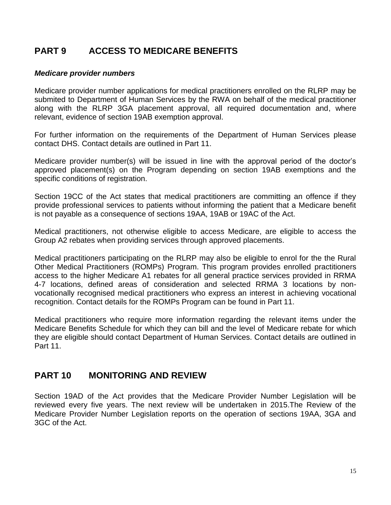# <span id="page-14-0"></span>**PART 9 ACCESS TO MEDICARE BENEFITS**

#### *Medicare provider numbers*

Medicare provider number applications for medical practitioners enrolled on the RLRP may be submited to Department of Human Services by the RWA on behalf of the medical practitioner along with the RLRP 3GA placement approval, all required documentation and, where relevant, evidence of section 19AB exemption approval.

For further information on the requirements of the Department of Human Services please contact DHS. Contact details are outlined in Part 11.

Medicare provider number(s) will be issued in line with the approval period of the doctor's approved placement(s) on the Program depending on section 19AB exemptions and the specific conditions of registration.

Section 19CC of the Act states that medical practitioners are committing an offence if they provide professional services to patients without informing the patient that a Medicare benefit is not payable as a consequence of sections 19AA, 19AB or 19AC of the Act.

Medical practitioners, not otherwise eligible to access Medicare, are eligible to access the Group A2 rebates when providing services through approved placements.

Medical practitioners participating on the RLRP may also be eligible to enrol for the the Rural Other Medical Practitioners (ROMPs) Program. This program provides enrolled practitioners access to the higher Medicare A1 rebates for all general practice services provided in RRMA 4-7 locations, defined areas of consideration and selected RRMA 3 locations by nonvocationally recognised medical practitioners who express an interest in achieving vocational recognition. Contact details for the ROMPs Program can be found in Part 11.

Medical practitioners who require more information regarding the relevant items under the Medicare Benefits Schedule for which they can bill and the level of Medicare rebate for which they are eligible should contact Department of Human Services. Contact details are outlined in Part 11.

## <span id="page-14-1"></span>**PART 10 MONITORING AND REVIEW**

<span id="page-14-2"></span>Section 19AD of the Act provides that the Medicare Provider Number Legislation will be reviewed every five years. The next review will be undertaken in 2015.The Review of the Medicare Provider Number Legislation reports on the operation of sections 19AA, 3GA and 3GC of the Act.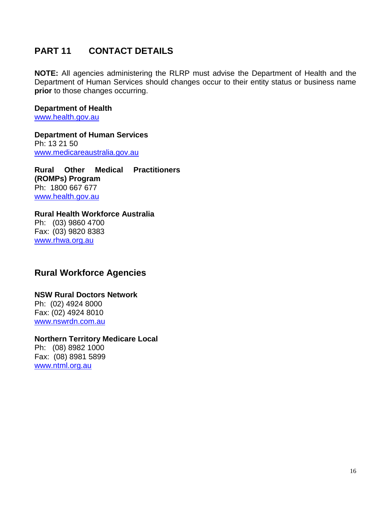# **PART 11 CONTACT DETAILS**

**NOTE:** All agencies administering the RLRP must advise the Department of Health and the Department of Human Services should changes occur to their entity status or business name **prior** to those changes occurring.

#### **Department of Health**  [www.health.gov.au](http://www.health.gov.au/)

**Department of Human Services** Ph: 13 21 50 [www.medicareaustralia.gov.au](http://www.medicareaustralia.gov.au/)

**Rural Other Medical Practitioners (ROMPs) Program** Ph: 1800 667 677 [www.health.gov.au](http://www.health.gov.au/)

#### **Rural Health Workforce Australia** Ph: (03) 9860 4700 Fax: (03) 9820 8383 [www.rhwa.org.au](http://www.rhwa.org.au/)

## **Rural Workforce Agencies**

## **NSW Rural Doctors Network**

Ph: (02) 4924 8000 Fax: (02) 4924 8010 [www.nswrdn.com.au](http://www.nswrdn.com.au/)

## **Northern Territory Medicare Local**

Ph: (08) 8982 1000 Fax: (08) 8981 5899 [www.ntml.org.au](http://www.ntml.org.au/)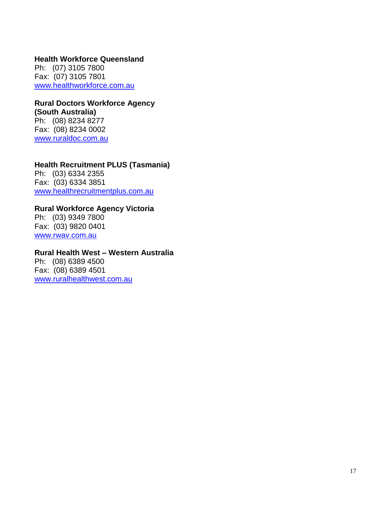#### **Health Workforce Queensland**

Ph: (07) 3105 7800 Fax: (07) 3105 7801 [www.healthworkforce.com.au](http://www.healthworkforce.com.au/)

#### **Rural Doctors Workforce Agency (South Australia)** Ph: (08) 8234 8277

Fax: (08) 8234 0002 [www.ruraldoc.com.au](http://www.ruraldoc.com.au/)

## **Health Recruitment PLUS (Tasmania)**

Ph: (03) 6334 2355 Fax: (03) 6334 3851 [www.healthrecruitmentplus.com.au](http://www.healthrecruitmentplus.com.au/)

# **Rural Workforce Agency Victoria**

Ph: (03) 9349 7800 Fax: (03) 9820 0401 [www.rwav.com.au](http://www.rwav.com.au/)

#### **Rural Health West – Western Australia**

Ph: (08) 6389 4500 Fax: (08) 6389 4501 [www.ruralhealthwest.com.au](http://www.ruralhealthwest.com.au/)